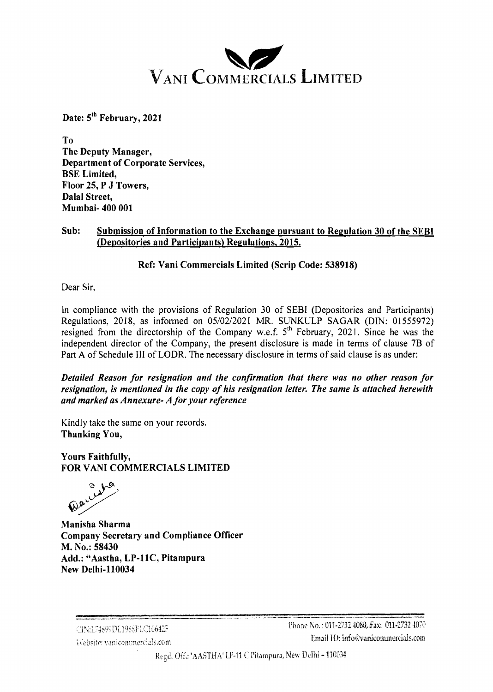

Date: 5<sup>th</sup> February, 2021

To The Deputy Manager, Department of Corporate Services, BSE Limited, Floor 25, P J Towers, Dalal Street, Mumbai- 400 001

## Sub: Submission of Information to the Exchange pursuant to Regulation 30 of the SEBI (Depositories and Participants) Regulations, 2015.

## Ref: Vani Commercials Limited (Scrip Code: 538918)

Dear Sir,

In compliance with the provisions of Regulation 30 of SEBI (Depositories and Participants) Regulations, 2018, as informed on 05/02/2021 MR. SUNKULP SAGAR (DIN: 01555972) resigned from the directorship of the Company w.e.f.  $5<sup>th</sup>$  February, 2021. Since he was the independent director of the Company, the present disclosure is made in terms of clause 7B of Part A of Schedule I11 of LODR. The necessary disclosure in terms of said clause is as under:

*Detailed Reason for resignation and the confirmation that there was no other reason for resignation, is mentioned in the copy of his resignation letter. The same is attached herewith and marked as Annexure- A for your reference* 

Kindly take the same on your records. Thanking You,

Yours Faithfully, FOR VAN1 COMMERCIALS LIMITED

Manisha Sharma Company Secretary and Compliance Officer M. No.: 58430 Add.: "Aastha, LP-11C, Pitampura New Delhi-110034

.\*.) \_\_\_\_ ,.,- **\_"-,\_X,\_\_I\_I\_"\_l\_\_** -,,,\*, ...-.-....-."., - ^ .- "I.. **-.-------.---.--1.11**  - ..,\$.,,+! "., .,,, :,,,i.,,L, +,!?.,![)].10;.\*~j~:,{~1~.641~ Pilane **30.** : **013-2732** -10S:I,, **!,as: 011-2732** 41!7<?  ${\bf K}$   ${\bf k}$   ${\bf k}$   ${\bf k}$   ${\bf k}$   ${\bf k}$   ${\bf k}$   ${\bf k}$   ${\bf k}$   ${\bf k}$   ${\bf k}$   ${\bf k}$   ${\bf k}$   ${\bf k}$   ${\bf k}$   ${\bf k}$   ${\bf k}$   ${\bf k}$   ${\bf k}$   ${\bf k}$   ${\bf k}$   ${\bf k}$   ${\bf k}$   ${\bf k}$   ${\bf k}$   ${\bf k}$   ${\bf k}$   ${\bf k}$   ${\bf k}$   ${\bf k}$   ${\bf k}$   ${\bf k}$ 

Regd, Off.: 'AASTHA' LP-11 C Pitampura, New Delhi - 110034